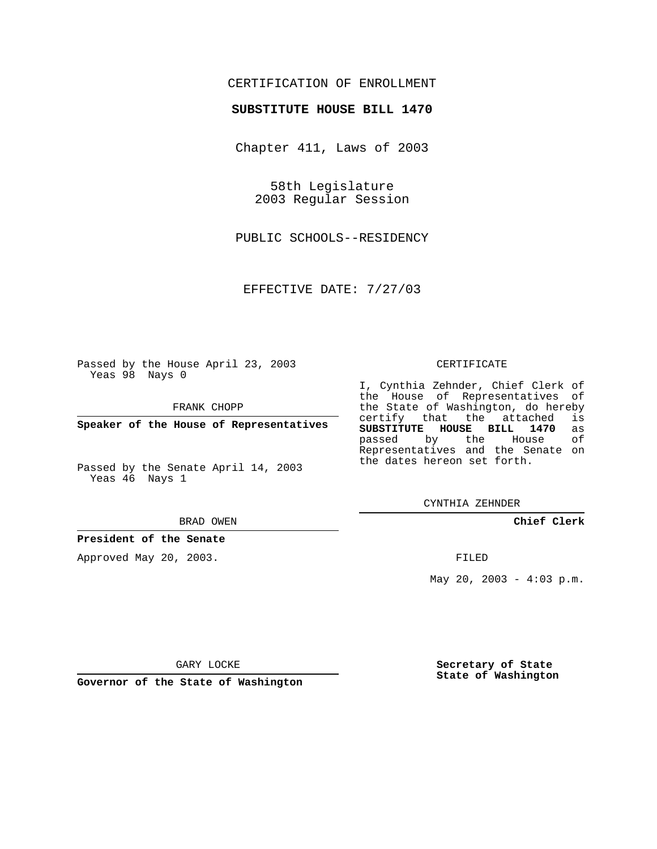## CERTIFICATION OF ENROLLMENT

### **SUBSTITUTE HOUSE BILL 1470**

Chapter 411, Laws of 2003

58th Legislature 2003 Regular Session

PUBLIC SCHOOLS--RESIDENCY

EFFECTIVE DATE: 7/27/03

Passed by the House April 23, 2003 Yeas 98 Nays 0

FRANK CHOPP

**Speaker of the House of Representatives**

Passed by the Senate April 14, 2003 Yeas 46 Nays 1

#### BRAD OWEN

**President of the Senate**

Approved May 20, 2003.

#### CERTIFICATE

I, Cynthia Zehnder, Chief Clerk of the House of Representatives of the State of Washington, do hereby<br>certify that the attached is certify that the attached **SUBSTITUTE HOUSE BILL 1470** as passed by the Representatives and the Senate on the dates hereon set forth.

CYNTHIA ZEHNDER

**Chief Clerk**

FILED

May 20, 2003 -  $4:03$  p.m.

GARY LOCKE

**Governor of the State of Washington**

**Secretary of State State of Washington**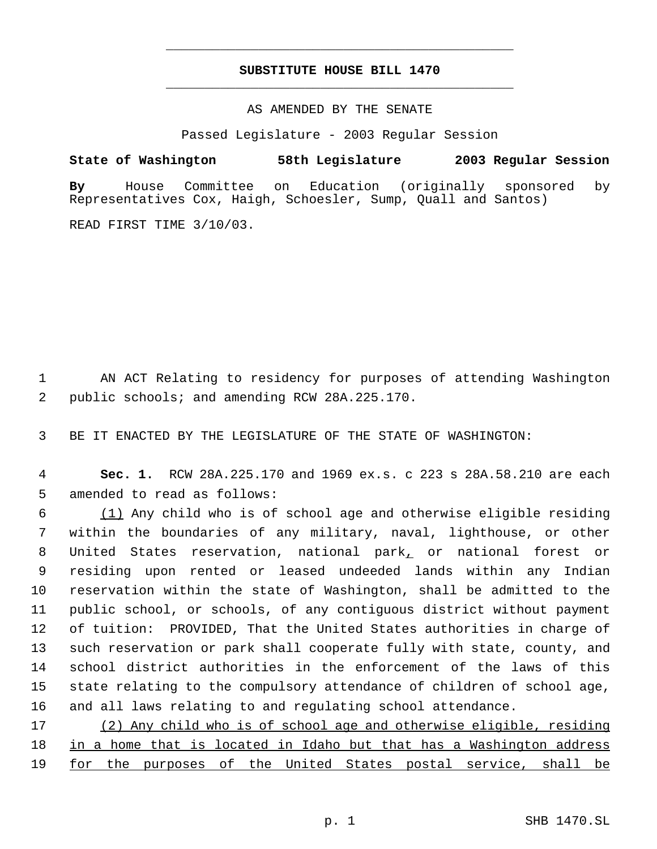# **SUBSTITUTE HOUSE BILL 1470** \_\_\_\_\_\_\_\_\_\_\_\_\_\_\_\_\_\_\_\_\_\_\_\_\_\_\_\_\_\_\_\_\_\_\_\_\_\_\_\_\_\_\_\_\_

\_\_\_\_\_\_\_\_\_\_\_\_\_\_\_\_\_\_\_\_\_\_\_\_\_\_\_\_\_\_\_\_\_\_\_\_\_\_\_\_\_\_\_\_\_

### AS AMENDED BY THE SENATE

Passed Legislature - 2003 Regular Session

# **State of Washington 58th Legislature 2003 Regular Session**

**By** House Committee on Education (originally sponsored by Representatives Cox, Haigh, Schoesler, Sump, Quall and Santos)

READ FIRST TIME 3/10/03.

 1 AN ACT Relating to residency for purposes of attending Washington 2 public schools; and amending RCW 28A.225.170.

3 BE IT ENACTED BY THE LEGISLATURE OF THE STATE OF WASHINGTON:

 4 **Sec. 1.** RCW 28A.225.170 and 1969 ex.s. c 223 s 28A.58.210 are each 5 amended to read as follows:

 (1) Any child who is of school age and otherwise eligible residing within the boundaries of any military, naval, lighthouse, or other United States reservation, national park, or national forest or residing upon rented or leased undeeded lands within any Indian reservation within the state of Washington, shall be admitted to the public school, or schools, of any contiguous district without payment of tuition: PROVIDED, That the United States authorities in charge of such reservation or park shall cooperate fully with state, county, and school district authorities in the enforcement of the laws of this state relating to the compulsory attendance of children of school age, and all laws relating to and regulating school attendance.

17 (2) Any child who is of school age and otherwise eligible, residing 18 in a home that is located in Idaho but that has a Washington address 19 for the purposes of the United States postal service, shall be